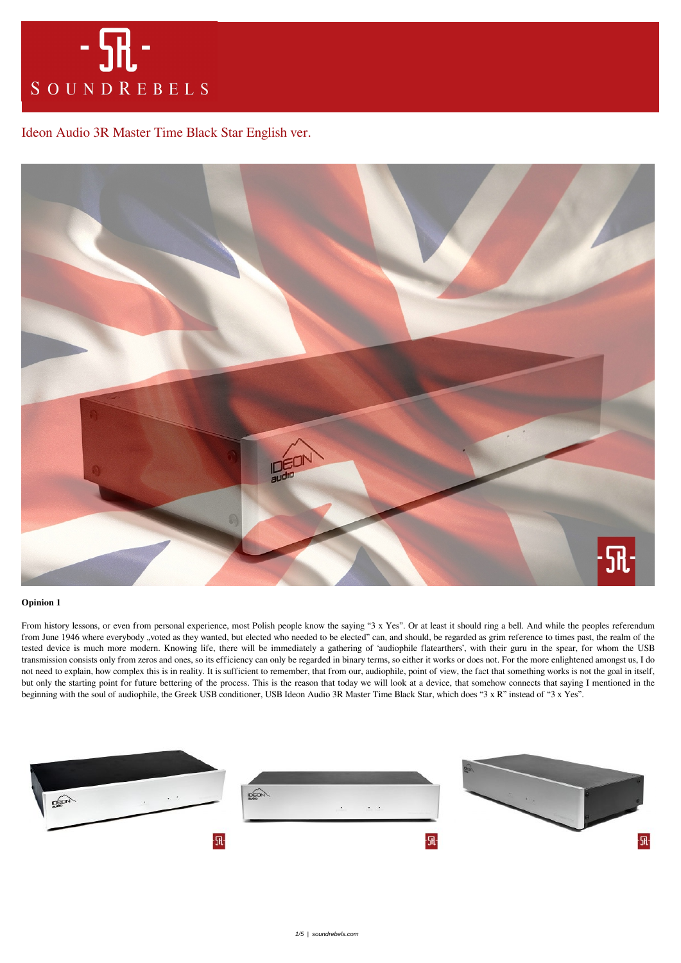

# [Ideon Audio 3R Master Time Black Star English ver.](https://soundrebels.com/ideon-audio-3r-master-time-black-star-english-ver/)



# **Opinion 1**

From history lessons, or even from personal experience, most Polish people know the saying "3 x Yes". Or at least it should ring a bell. And while the peoples referendum from June 1946 where everybody "voted as they wanted, but elected who needed to be elected" can, and should, be regarded as grim reference to times past, the realm of the tested device is much more modern. Knowing life, there will be immediately a gathering of 'audiophile flatearthers', with their guru in the spear, for whom the USB transmission consists only from zeros and ones, so its efficiency can only be regarded in binary terms, so either it works or does not. For the more enlightened amongst us, I do not need to explain, how complex this is in reality. It is sufficient to remember, that from our, audiophile, point of view, the fact that something works is not the goal in itself, but only the starting point for future bettering of the process. This is the reason that today we will look at a device, that somehow connects that saying I mentioned in the beginning with the soul of audiophile, the Greek USB conditioner, USB Ideon Audio 3R Master Time Black Star, which does "3 x R" instead of "3 x Yes".

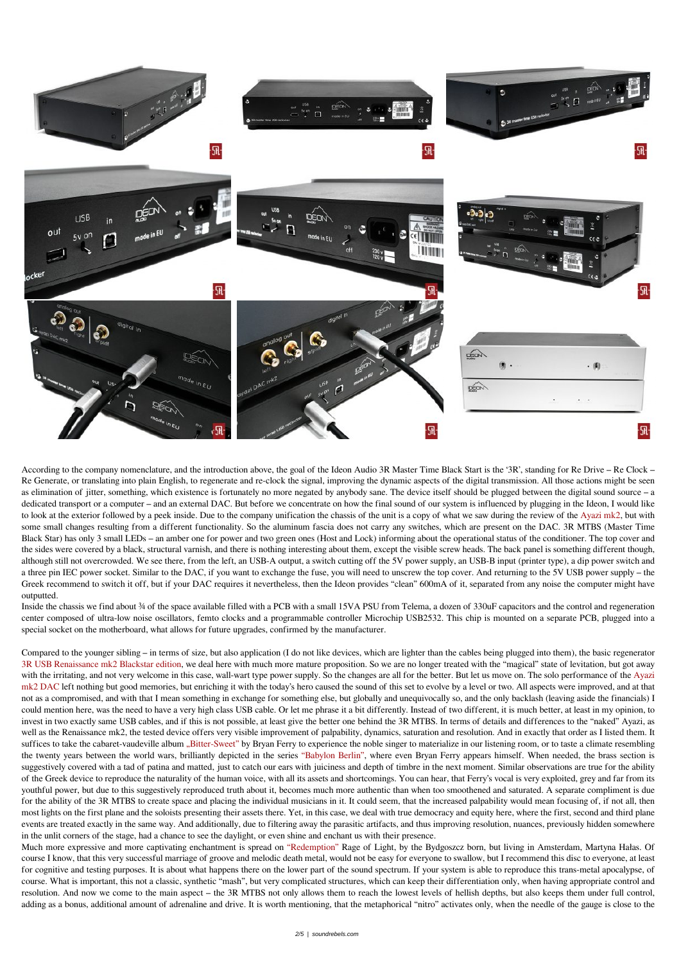

According to the company nomenclature, and the introduction above, the goal of the Ideon Audio 3R Master Time Black Start is the '3R', standing for Re Drive – Re Clock – Re Generate, or translating into plain English, to regenerate and re-clock the signal, improving the dynamic aspects of the digital transmission. All those actions might be seen as elimination of jitter, something, which existence is fortunately no more negated by anybody sane. The device itself should be plugged between the digital sound source – a dedicated transport or a computer – and an external DAC. But before we concentrate on how the final sound of our system is influenced by plugging in the Ideon, I would like to look at the exterior followed by a peek inside. Due to the company unification the chassis of the unit is a copy of what we saw during the review of the [Ayazi mk2,](https://soundrebels.com/ideon-audio-ayazi-mk2-dac-english-ver/) but with some small changes resulting from a different functionality. So the aluminum fascia does not carry any switches, which are present on the DAC. 3R MTBS (Master Time Black Star) has only 3 small LEDs – an amber one for power and two green ones (Host and Lock) informing about the operational status of the conditioner. The top cover and the sides were covered by a black, structural varnish, and there is nothing interesting about them, except the visible screw heads. The back panel is something different though, although still not overcrowded. We see there, from the left, an USB-A output, a switch cutting off the 5V power supply, an USB-B input (printer type), a dip power switch and a three pin IEC power socket. Similar to the DAC, if you want to exchange the fuse, you will need to unscrew the top cover. And returning to the 5V USB power supply – the Greek recommend to switch it off, but if your DAC requires it nevertheless, then the Ideon provides "clean" 600mA of it, separated from any noise the computer might have outputted.

Inside the chassis we find about ¾ of the space available filled with a PCB with a small 15VA PSU from Telema, a dozen of 330uF capacitors and the control and regeneration center composed of ultra-low noise oscillators, femto clocks and a programmable controller Microchip USB2532. This chip is mounted on a separate PCB, plugged into a special socket on the motherboard, what allows for future upgrades, confirmed by the manufacturer.

Compared to the younger sibling – in terms of size, but also application (I do not like devices, which are lighter than the cables being plugged into them), the basic regenerator [3R USB Renaissance mk2 Blackstar edition,](https://soundrebels.com/ideon-audio-3r-usb-renaissance-mk2-blackstar-edition/) we deal here with much more mature proposition. So we are no longer treated with the "magical" state of levitation, but got away with the irritating, and not very welcome in this case, wall-wart type power supply. So the changes are all for the better. But let us move on. The solo performance of the [Ayazi](https://soundrebels.com/ideon-audio-ayazi-mk2-dac-english-ver/) [mk2 DAC](https://soundrebels.com/ideon-audio-ayazi-mk2-dac-english-ver/) left nothing but good memories, but enriching it with the today's hero caused the sound of this set to evolve by a level or two. All aspects were improved, and at that not as a compromised, and with that I mean something in exchange for something else, but globally and unequivocally so, and the only backlash (leaving aside the financials) I could mention here, was the need to have a very high class USB cable. Or let me phrase it a bit differently. Instead of two different, it is much better, at least in my opinion, to invest in two exactly same USB cables, and if this is not possible, at least give the better one behind the 3R MTBS. In terms of details and differences to the "naked" Ayazi, as well as the Renaissance mk2, the tested device offers very visible improvement of palpability, dynamics, saturation and resolution. And in exactly that order as I listed them. It suffices to take the cabaret-vaudeville album ["Bitter-Sweet"](https://tidal.com/browse/album/98535181) by Bryan Ferry to experience the noble singer to materialize in our listening room, or to taste a climate resembling the twenty years between the world wars, brilliantly depicted in the series ["Babylon Berlin",](https://tidal.com/browse/album/81062456) where even Bryan Ferry appears himself. When needed, the brass section is suggestively covered with a tad of patina and matted, just to catch our ears with juiciness and depth of timbre in the next moment. Similar observations are true for the ability of the Greek device to reproduce the naturality of the human voice, with all its assets and shortcomings. You can hear, that Ferry's vocal is very exploited, grey and far from its youthful power, but due to this suggestively reproduced truth about it, becomes much more authentic than when too smoothened and saturated. A separate compliment is due for the ability of the 3R MTBS to create space and placing the individual musicians in it. It could seem, that the increased palpability would mean focusing of, if not all, then most lights on the first plane and the soloists presenting their assets there. Yet, in this case, we deal with true democracy and equity here, where the first, second and third plane events are treated exactly in the same way. And additionally, due to filtering away the parasitic artifacts, and thus improving resolution, nuances, previously hidden somewhere in the unlit corners of the stage, had a chance to see the daylight, or even shine and enchant us with their presence. Much more expressive and more captivating enchantment is spread on ["Redemption"](https://tidal.com/browse/album/204264226) Rage of Light, by the Bydgoszcz born, but living in Amsterdam, Martyna Hałas. Of course I know, that this very successful marriage of groove and melodic death metal, would not be easy for everyone to swallow, but I recommend this disc to everyone, at least for cognitive and testing purposes. It is about what happens there on the lower part of the sound spectrum. If your system is able to reproduce this trans-metal apocalypse, of course. What is important, this not a classic, synthetic "mash", but very complicated structures, which can keep their differentiation only, when having appropriate control and resolution. And now we come to the main aspect – the 3R MTBS not only allows them to reach the lowest levels of hellish depths, but also keeps them under full control, adding as a bonus, additional amount of adrenaline and drive. It is worth mentioning, that the metaphorical "nitro" activates only, when the needle of the gauge is close to the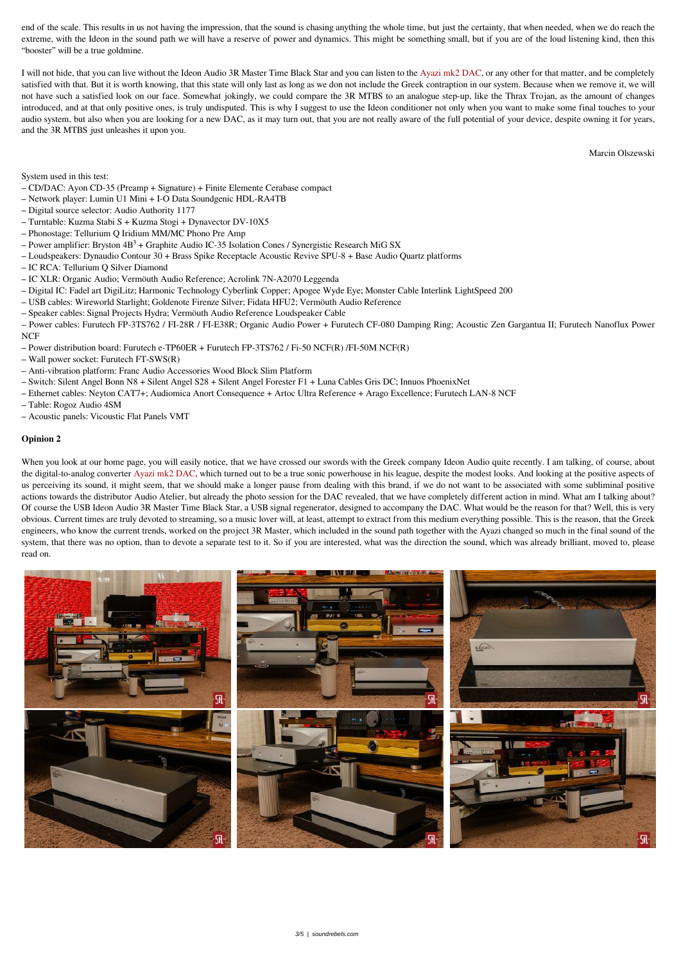end of the scale. This results in us not having the impression, that the sound is chasing anything the whole time, but just the certainty, that when needed, when we do reach the extreme, with the Ideon in the sound path we will have a reserve of power and dynamics. This might be something small, but if you are of the loud listening kind, then this "booster" will be a true goldmine.

I will not hide, that you can live without the Ideon Audio 3R Master Time Black Star and you can listen to the [Ayazi mk2 DAC](https://soundrebels.com/ideon-audio-ayazi-mk2-dac-english-ver/), or any other for that matter, and be completely satisfied with that. But it is worth knowing, that this state will only last as long as we don not include the Greek contraption in our system. Because when we remove it, we will not have such a satisfied look on our face. Somewhat jokingly, we could compare the 3R MTBS to an analogue step-up, like the Thrax Trojan, as the amount of changes introduced, and at that only positive ones, is truly undisputed. This is why I suggest to use the Ideon conditioner not only when you want to make some final touches to your audio system, but also when you are looking for a new DAC, as it may turn out, that you are not really aware of the full potential of your device, despite owning it for years, and the 3R MTBS just unleashes it upon you.

Marcin Olszewski

System used in this test:

- CD/DAC: Ayon CD-35 (Preamp + Signature) + Finite Elemente Cerabase compact
- Network player: Lumin U1 Mini + I-O Data Soundgenic HDL-RA4TB
- Digital source selector: Audio Authority 1177
- Turntable: Kuzma Stabi S + Kuzma Stogi + Dynavector DV-10X5
- Phonostage: Tellurium Q Iridium MM/MC Phono Pre Amp
- Power amplifier: Bryston  $4B<sup>3</sup>$  + Graphite Audio IC-35 Isolation Cones / Synergistic Research MiG SX
- Loudspeakers: Dynaudio Contour 30 + Brass Spike Receptacle Acoustic Revive SPU-8 + Base Audio Quartz platforms
- IC RCA: Tellurium Q Silver Diamond
- IC XLR: Organic Audio; Vermöuth Audio Reference; Acrolink 7N-A2070 Leggenda
- Digital IC: Fadel art DigiLitz; Harmonic Technology Cyberlink Copper; Apogee Wyde Eye; Monster Cable Interlink LightSpeed 200
- USB cables: Wireworld Starlight; Goldenote Firenze Silver; Fidata HFU2; Vermöuth Audio Reference
- Speaker cables: Signal Projects Hydra; Vermöuth Audio Reference Loudspeaker Cable

When you look at our home page, you will easily notice, that we have crossed our swords with the Greek company Ideon Audio quite recently. I am talking, of course, about the digital-to-analog converter [Ayazi mk2 DAC](https://soundrebels.com/ideon-audio-ayazi-mk2-dac-english-ver/), which turned out to be a true sonic powerhouse in his league, despite the modest looks. And looking at the positive aspects of us perceiving its sound, it might seem, that we should make a longer pause from dealing with this brand, if we do not want to be associated with some subliminal positive actions towards the distributor Audio Atelier, but already the photo session for the DAC revealed, that we have completely different action in mind. What am I talking about? Of course the USB Ideon Audio 3R Master Time Black Star, a USB signal regenerator, designed to accompany the DAC. What would be the reason for that? Well, this is very obvious. Current times are truly devoted to streaming, so a music lover will, at least, attempt to extract from this medium everything possible. This is the reason, that the Greek engineers, who know the current trends, worked on the project 3R Master, which included in the sound path together with the Ayazi changed so much in the final sound of the system, that there was no option, than to devote a separate test to it. So if you are interested, what was the direction the sound, which was already brilliant, moved to, please read on.



– Power cables: Furutech FP-3TS762 / FI-28R / FI-E38R; Organic Audio Power + Furutech CF-080 Damping Ring; Acoustic Zen Gargantua II; Furutech Nanoflux Power NCF

- Power distribution board: Furutech e-TP60ER + Furutech FP-3TS762 / Fi-50 NCF(R) /FI-50M NCF(R)
- Wall power socket: Furutech FT-SWS(R)
- Anti-vibration platform: Franc Audio Accessories Wood Block Slim Platform
- Switch: Silent Angel Bonn N8 + Silent Angel S28 + Silent Angel Forester F1 + Luna Cables Gris DC; Innuos PhoenixNet
- Ethernet cables: Neyton CAT7+; Audiomica Anort Consequence + Artoc Ultra Reference + Arago Excellence; Furutech LAN-8 NCF
- Table: Rogoz Audio 4SM
- Acoustic panels: Vicoustic Flat Panels VMT

# **Opinion 2**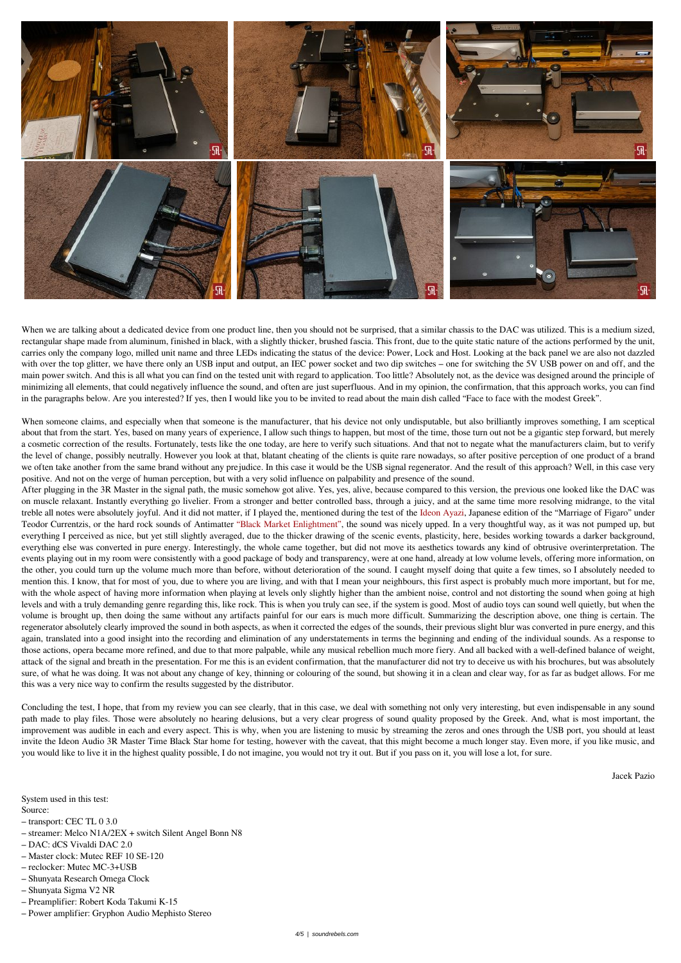

When we are talking about a dedicated device from one product line, then you should not be surprised, that a similar chassis to the DAC was utilized. This is a medium sized, rectangular shape made from aluminum, finished in black, with a slightly thicker, brushed fascia. This front, due to the quite static nature of the actions performed by the unit, carries only the company logo, milled unit name and three LEDs indicating the status of the device: Power, Lock and Host. Looking at the back panel we are also not dazzled with over the top glitter, we have there only an USB input and output, an IEC power socket and two dip switches – one for switching the 5V USB power on and off, and the main power switch. And this is all what you can find on the tested unit with regard to application. Too little? Absolutely not, as the device was designed around the principle of minimizing all elements, that could negatively influence the sound, and often are just superfluous. And in my opinion, the confirmation, that this approach works, you can find in the paragraphs below. Are you interested? If yes, then I would like you to be invited to read about the main dish called "Face to face with the modest Greek".

When someone claims, and especially when that someone is the manufacturer, that his device not only undisputable, but also brilliantly improves something, I am sceptical about that from the start. Yes, based on many years of experience, I allow such things to happen, but most of the time, those turn out not be a gigantic step forward, but merely a cosmetic correction of the results. Fortunately, tests like the one today, are here to verify such situations. And that not to negate what the manufacturers claim, but to verify the level of change, possibly neutrally. However you look at that, blatant cheating of the clients is quite rare nowadays, so after positive perception of one product of a brand we often take another from the same brand without any prejudice. In this case it would be the USB signal regenerator. And the result of this approach? Well, in this case very positive. And not on the verge of human perception, but with a very solid influence on palpability and presence of the sound.

After plugging in the 3R Master in the signal path, the music somehow got alive. Yes, yes, alive, because compared to this version, the previous one looked like the DAC was on muscle relaxant. Instantly everything go livelier. From a stronger and better controlled bass, through a juicy, and at the same time more resolving midrange, to the vital treble all notes were absolutely joyful. And it did not matter, if I played the, mentioned during the test of the [Ideon Ayazi,](https://soundrebels.com/ideon-audio-ayazi-mk2-dac-english-ver/) Japanese edition of the "Marriage of Figaro" under Teodor Currentzis, or the hard rock sounds of Antimatter ["Black Market Enlightment",](https://tidal.com/browse/album/97634268) the sound was nicely upped. In a very thoughtful way, as it was not pumped up, but everything I perceived as nice, but yet still slightly averaged, due to the thicker drawing of the scenic events, plasticity, here, besides working towards a darker background, everything else was converted in pure energy. Interestingly, the whole came together, but did not move its aesthetics towards any kind of obtrusive overinterpretation. The events playing out in my room were consistently with a good package of body and transparency, were at one hand, already at low volume levels, offering more information, on the other, you could turn up the volume much more than before, without deterioration of the sound. I caught myself doing that quite a few times, so I absolutely needed to mention this. I know, that for most of you, due to where you are living, and with that I mean your neighbours, this first aspect is probably much more important, but for me, with the whole aspect of having more information when playing at levels only slightly higher than the ambient noise, control and not distorting the sound when going at high levels and with a truly demanding genre regarding this, like rock. This is when you truly can see, if the system is good. Most of audio toys can sound well quietly, but when the volume is brought up, then doing the same without any artifacts painful for our ears is much more difficult. Summarizing the description above, one thing is certain. The regenerator absolutely clearly improved the sound in both aspects, as when it corrected the edges of the sounds, their previous slight blur was converted in pure energy, and this again, translated into a good insight into the recording and elimination of any understatements in terms the beginning and ending of the individual sounds. As a response to those actions, opera became more refined, and due to that more palpable, while any musical rebellion much more fiery. And all backed with a well-defined balance of weight, attack of the signal and breath in the presentation. For me this is an evident confirmation, that the manufacturer did not try to deceive us with his brochures, but was absolutely sure, of what he was doing. It was not about any change of key, thinning or colouring of the sound, but showing it in a clean and clear way, for as far as budget allows. For me this was a very nice way to confirm the results suggested by the distributor.

Concluding the test, I hope, that from my review you can see clearly, that in this case, we deal with something not only very interesting, but even indispensable in any sound path made to play files. Those were absolutely no hearing delusions, but a very clear progress of sound quality proposed by the Greek. And, what is most important, the improvement was audible in each and every aspect. This is why, when you are listening to music by streaming the zeros and ones through the USB port, you should at least invite the Ideon Audio 3R Master Time Black Star home for testing, however with the caveat, that this might become a much longer stay. Even more, if you like music, and you would like to live it in the highest quality possible, I do not imagine, you would not try it out. But if you pass on it, you will lose a lot, for sure.

Jacek Pazio

### System used in this test:

### Source:

- transport: CEC TL 0 3.0
- streamer: Melco N1A/2EX + switch Silent Angel Bonn N8
- DAC: dCS Vivaldi DAC 2.0
- Master clock: Mutec REF 10 SE-120
- reclocker: Mutec MC-3+USB
- Shunyata Research Omega Clock
- Shunyata Sigma V2 NR
- Preamplifier: Robert Koda Takumi K-15
- Power amplifier: Gryphon Audio Mephisto Stereo